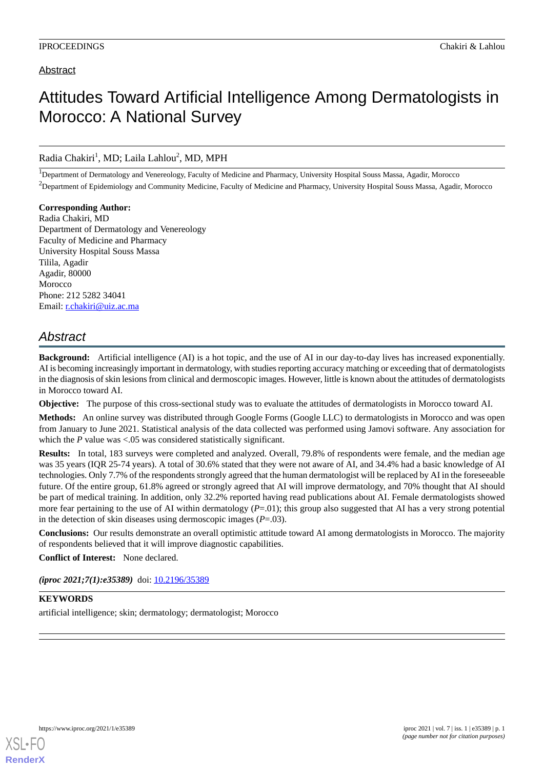### Abstract

# Attitudes Toward Artificial Intelligence Among Dermatologists in Morocco: A National Survey

### Radia Chakiri<sup>1</sup>, MD; Laila Lahlou<sup>2</sup>, MD, MPH

<sup>1</sup>Department of Dermatology and Venereology, Faculty of Medicine and Pharmacy, University Hospital Souss Massa, Agadir, Morocco  $2D$  Department of Epidemiology and Community Medicine, Faculty of Medicine and Pharmacy, University Hospital Souss Massa, Agadir, Morocco

**Corresponding Author:** Radia Chakiri, MD Department of Dermatology and Venereology Faculty of Medicine and Pharmacy University Hospital Souss Massa Tilila, Agadir Agadir, 80000 Morocco Phone: 212 5282 34041 Email: [r.chakiri@uiz.ac.ma](mailto:r.chakiri@uiz.ac.ma)

## *Abstract*

**Background:** Artificial intelligence (AI) is a hot topic, and the use of AI in our day-to-day lives has increased exponentially. AI is becoming increasingly important in dermatology, with studies reporting accuracy matching or exceeding that of dermatologists in the diagnosis of skin lesions from clinical and dermoscopic images. However, little is known about the attitudes of dermatologists in Morocco toward AI.

**Objective:** The purpose of this cross-sectional study was to evaluate the attitudes of dermatologists in Morocco toward AI.

**Methods:** An online survey was distributed through Google Forms (Google LLC) to dermatologists in Morocco and was open from January to June 2021. Statistical analysis of the data collected was performed using Jamovi software. Any association for which the *P* value was <.05 was considered statistically significant.

**Results:** In total, 183 surveys were completed and analyzed. Overall, 79.8% of respondents were female, and the median age was 35 years (IQR 25-74 years). A total of 30.6% stated that they were not aware of AI, and 34.4% had a basic knowledge of AI technologies. Only 7.7% of the respondents strongly agreed that the human dermatologist will be replaced by AI in the foreseeable future. Of the entire group, 61.8% agreed or strongly agreed that AI will improve dermatology, and 70% thought that AI should be part of medical training. In addition, only 32.2% reported having read publications about AI. Female dermatologists showed more fear pertaining to the use of AI within dermatology ( $P=01$ ); this group also suggested that AI has a very strong potential in the detection of skin diseases using dermoscopic images (*P*=.03).

**Conclusions:** Our results demonstrate an overall optimistic attitude toward AI among dermatologists in Morocco. The majority of respondents believed that it will improve diagnostic capabilities.

**Conflict of Interest:** None declared.

*(iproc 2021;7(1):e35389)* doi:  $10.2196/35389$ 

### **KEYWORDS**

artificial intelligence; skin; dermatology; dermatologist; Morocco